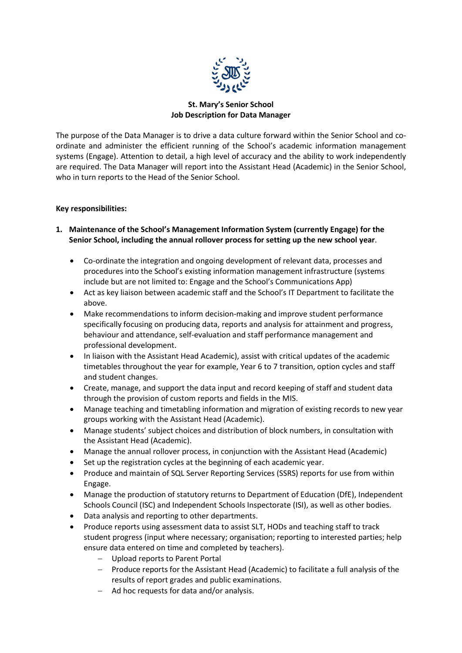

### St. Mary's Senior School Job Description for Data Manager

The purpose of the Data Manager is to drive a data culture forward within the Senior School and coordinate and administer the efficient running of the School's academic information management systems (Engage). Attention to detail, a high level of accuracy and the ability to work independently are required. The Data Manager will report into the Assistant Head (Academic) in the Senior School, who in turn reports to the Head of the Senior School.

#### Key responsibilities:

- 1. Maintenance of the School's Management Information System (currently Engage) for the Senior School, including the annual rollover process for setting up the new school year.
	- Co-ordinate the integration and ongoing development of relevant data, processes and procedures into the School's existing information management infrastructure (systems include but are not limited to: Engage and the School's Communications App)
	- Act as key liaison between academic staff and the School's IT Department to facilitate the above.
	- Make recommendations to inform decision-making and improve student performance specifically focusing on producing data, reports and analysis for attainment and progress, behaviour and attendance, self-evaluation and staff performance management and professional development.
	- In liaison with the Assistant Head Academic), assist with critical updates of the academic timetables throughout the year for example, Year 6 to 7 transition, option cycles and staff and student changes.
	- Create, manage, and support the data input and record keeping of staff and student data through the provision of custom reports and fields in the MIS.
	- Manage teaching and timetabling information and migration of existing records to new year groups working with the Assistant Head (Academic).
	- Manage students' subject choices and distribution of block numbers, in consultation with the Assistant Head (Academic).
	- Manage the annual rollover process, in conjunction with the Assistant Head (Academic)
	- Set up the registration cycles at the beginning of each academic year.
	- Produce and maintain of SQL Server Reporting Services (SSRS) reports for use from within Engage.
	- Manage the production of statutory returns to Department of Education (DfE), Independent Schools Council (ISC) and Independent Schools Inspectorate (ISI), as well as other bodies.
	- Data analysis and reporting to other departments.
	- Produce reports using assessment data to assist SLT, HODs and teaching staff to track student progress (input where necessary; organisation; reporting to interested parties; help ensure data entered on time and completed by teachers).
		- Upload reports to Parent Portal
		- Produce reports for the Assistant Head (Academic) to facilitate a full analysis of the results of report grades and public examinations.
		- $-$  Ad hoc requests for data and/or analysis.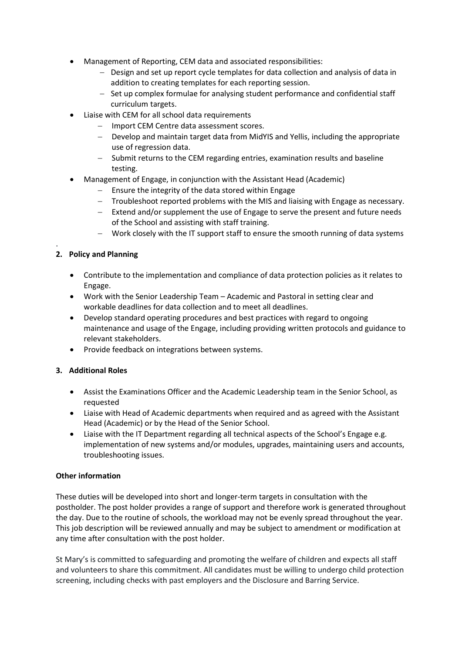- Management of Reporting, CEM data and associated responsibilities:
	- Design and set up report cycle templates for data collection and analysis of data in addition to creating templates for each reporting session.
	- Set up complex formulae for analysing student performance and confidential staff curriculum targets.
- Liaise with CEM for all school data requirements
	- Import CEM Centre data assessment scores.
	- Develop and maintain target data from MidYIS and Yellis, including the appropriate use of regression data.
	- Submit returns to the CEM regarding entries, examination results and baseline testing.
- Management of Engage, in conjunction with the Assistant Head (Academic)
	- Ensure the integrity of the data stored within Engage
	- Troubleshoot reported problems with the MIS and liaising with Engage as necessary.
	- Extend and/or supplement the use of Engage to serve the present and future needs of the School and assisting with staff training.
	- Work closely with the IT support staff to ensure the smooth running of data systems

## 2. Policy and Planning

.

- Contribute to the implementation and compliance of data protection policies as it relates to Engage.
- Work with the Senior Leadership Team Academic and Pastoral in setting clear and workable deadlines for data collection and to meet all deadlines.
- Develop standard operating procedures and best practices with regard to ongoing maintenance and usage of the Engage, including providing written protocols and guidance to relevant stakeholders.
- Provide feedback on integrations between systems.

#### 3. Additional Roles

- Assist the Examinations Officer and the Academic Leadership team in the Senior School, as requested
- Liaise with Head of Academic departments when required and as agreed with the Assistant Head (Academic) or by the Head of the Senior School.
- Liaise with the IT Department regarding all technical aspects of the School's Engage e.g. implementation of new systems and/or modules, upgrades, maintaining users and accounts, troubleshooting issues.

#### Other information

These duties will be developed into short and longer-term targets in consultation with the postholder. The post holder provides a range of support and therefore work is generated throughout the day. Due to the routine of schools, the workload may not be evenly spread throughout the year. This job description will be reviewed annually and may be subject to amendment or modification at any time after consultation with the post holder.

St Mary's is committed to safeguarding and promoting the welfare of children and expects all staff and volunteers to share this commitment. All candidates must be willing to undergo child protection screening, including checks with past employers and the Disclosure and Barring Service.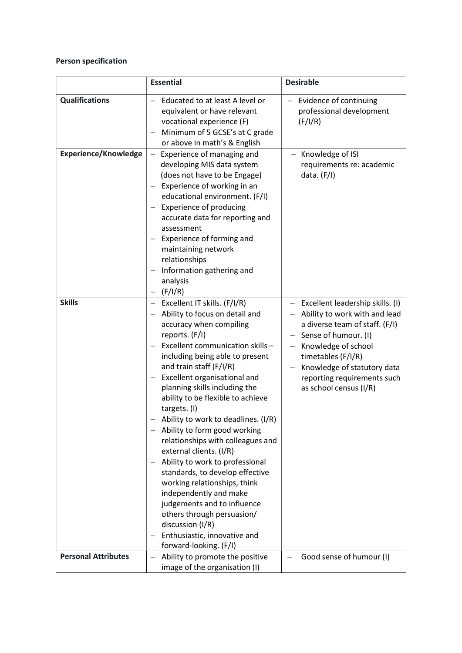# Person specification

|                             | <b>Essential</b>                                                                                                                                                                                                                                                                                                                                                                                                                                                                                                                                                                                                                                                                                                                                                                  | <b>Desirable</b>                                                                                                                                                                                                                                                 |
|-----------------------------|-----------------------------------------------------------------------------------------------------------------------------------------------------------------------------------------------------------------------------------------------------------------------------------------------------------------------------------------------------------------------------------------------------------------------------------------------------------------------------------------------------------------------------------------------------------------------------------------------------------------------------------------------------------------------------------------------------------------------------------------------------------------------------------|------------------------------------------------------------------------------------------------------------------------------------------------------------------------------------------------------------------------------------------------------------------|
| <b>Qualifications</b>       | Educated to at least A level or<br>equivalent or have relevant<br>vocational experience (F)<br>Minimum of 5 GCSE's at C grade<br>or above in math's & English                                                                                                                                                                                                                                                                                                                                                                                                                                                                                                                                                                                                                     | Evidence of continuing<br>professional development<br>(F/I/R)                                                                                                                                                                                                    |
| <b>Experience/Knowledge</b> | Experience of managing and<br>developing MIS data system<br>(does not have to be Engage)<br>Experience of working in an<br>educational environment. (F/I)<br><b>Experience of producing</b><br>accurate data for reporting and<br>assessment<br>Experience of forming and<br>maintaining network<br>relationships<br>Information gathering and<br>$\overline{\phantom{0}}$<br>analysis<br>(F/I/R)                                                                                                                                                                                                                                                                                                                                                                                 | Knowledge of ISI<br>requirements re: academic<br>data. $(F/I)$                                                                                                                                                                                                   |
| <b>Skills</b>               | Excellent IT skills. (F/I/R)<br>Ability to focus on detail and<br>accuracy when compiling<br>reports. (F/I)<br>Excellent communication skills -<br>including being able to present<br>and train staff (F/I/R)<br>Excellent organisational and<br>$\overline{\phantom{0}}$<br>planning skills including the<br>ability to be flexible to achieve<br>targets. (I)<br>Ability to work to deadlines. (I/R)<br>Ability to form good working<br>relationships with colleagues and<br>external clients. (I/R)<br>Ability to work to professional<br>standards, to develop effective<br>working relationships, think<br>independently and make<br>judgements and to influence<br>others through persuasion/<br>discussion (I/R)<br>Enthusiastic, innovative and<br>forward-looking. (F/I) | Excellent leadership skills. (I)<br>Ability to work with and lead<br>a diverse team of staff. (F/I)<br>Sense of humour. (I)<br>Knowledge of school<br>timetables (F/I/R)<br>Knowledge of statutory data<br>reporting requirements such<br>as school census (I/R) |
| <b>Personal Attributes</b>  | Ability to promote the positive<br>image of the organisation (I)                                                                                                                                                                                                                                                                                                                                                                                                                                                                                                                                                                                                                                                                                                                  | Good sense of humour (I)                                                                                                                                                                                                                                         |